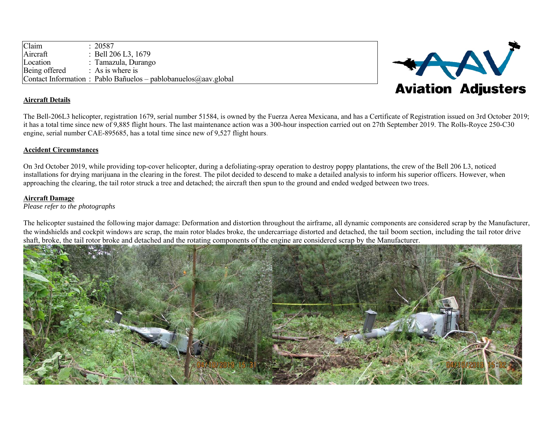

## **Aircraft Details**

The Bell-206L3 helicopter, registration 1679, serial number 51584, is owned by the Fuerza Aerea Mexicana, and has a Certificate of Registration issued on 3rd October 2019; it has a total time since new of 9,885 flight hours. The last maintenance action was a 300-hour inspection carried out on 27th September 2019. The Rolls-Royce 250-C30 engine, serial number CAE-895685, has a total time since new of 9,527 flight hours.

## **Accident Circumstances**

On 3rd October 2019, while providing top-cover helicopter, during a defoliating-spray operation to destroy poppy plantations, the crew of the Bell 206 L3, noticed installations for drying marijuana in the clearing in the forest. The pilot decided to descend to make a detailed analysis to inform his superior officers. However, when approaching the clearing, the tail rotor struck a tree and detached; the aircraft then spun to the ground and ended wedged between two trees.

## **Aircraft Damage**

*Please refer to the photographs* 

The helicopter sustained the following major damage: Deformation and distortion throughout the airframe, all dynamic components are considered scrap by the Manufacturer, the windshields and cockpit windows are scrap, the main rotor blades broke, the undercarriage distorted and detached, the tail boom section, including the tail rotor drive shaft, broke, the tail rotor broke and detached and the rotating components of the engine are considered scrap by the Manufacturer.

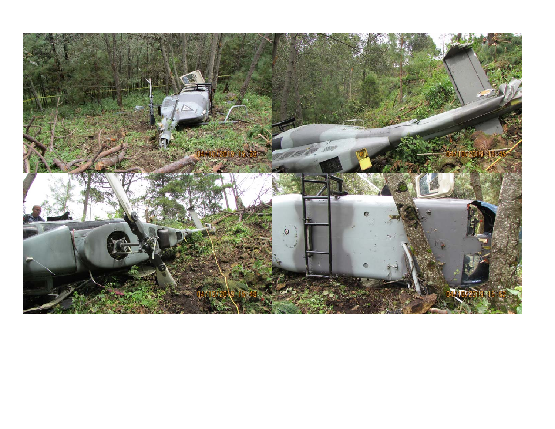